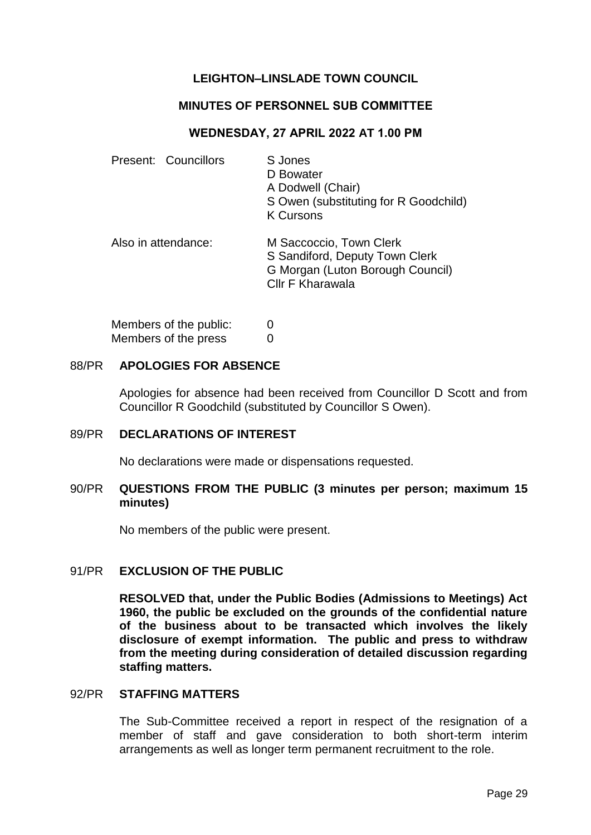# **LEIGHTON–LINSLADE TOWN COUNCIL**

### **MINUTES OF PERSONNEL SUB COMMITTEE**

## **WEDNESDAY, 27 APRIL 2022 AT 1.00 PM**

| Present: Councillors | S Jones<br>D Bowater<br>A Dodwell (Chair)<br>S Owen (substituting for R Goodchild)<br><b>K Cursons</b>                   |
|----------------------|--------------------------------------------------------------------------------------------------------------------------|
| Also in attendance:  | M Saccoccio, Town Clerk<br>S Sandiford, Deputy Town Clerk<br>G Morgan (Luton Borough Council)<br><b>CIIr F Kharawala</b> |

| Members of the public: | 0 |
|------------------------|---|
| Members of the press   | 0 |

## 88/PR **APOLOGIES FOR ABSENCE**

Apologies for absence had been received from Councillor D Scott and from Councillor R Goodchild (substituted by Councillor S Owen).

#### 89/PR **DECLARATIONS OF INTEREST**

No declarations were made or dispensations requested.

## 90/PR **QUESTIONS FROM THE PUBLIC (3 minutes per person; maximum 15 minutes)**

No members of the public were present.

### 91/PR **EXCLUSION OF THE PUBLIC**

**RESOLVED that, under the Public Bodies (Admissions to Meetings) Act 1960, the public be excluded on the grounds of the confidential nature of the business about to be transacted which involves the likely disclosure of exempt information. The public and press to withdraw from the meeting during consideration of detailed discussion regarding staffing matters.** 

#### 92/PR **STAFFING MATTERS**

The Sub-Committee received a report in respect of the resignation of a member of staff and gave consideration to both short-term interim arrangements as well as longer term permanent recruitment to the role.